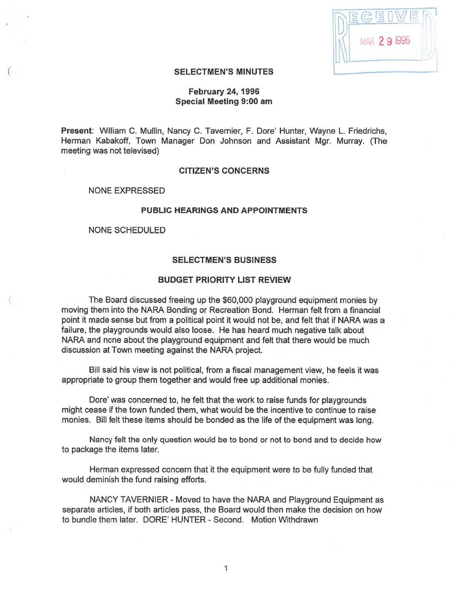| 冒<br>追。            |
|--------------------|
| <b>MAR 29 1996</b> |
|                    |

# SELECTMEN'S MINUTES

# February 24, 1996 Special Meeting 9:00 am

Present: William C. Mullin, Nancy C. Tavernier, F. Dore' Hunter, Wayne L. Friedrichs, Herman Kabakoff, Town Manager Don Johnson and Assistant Mgr. Murray. (The meeting was not televised)

#### CITIZEN'S CONCERNS

NONE EXPRESSED

# PUBLIC HEARINGS AND APPOINTMENTS

NONE SCHEDULED

## SELECTMEN'S BUSINESS

## BUDGET PRIORITY LIST REVIEW

The Board discussed freeing up the \$60,000 playground equipment monies by moving them into the NARA Bonding or Recreation Bond. Herman felt from <sup>a</sup> financial point it made sense but from <sup>a</sup> political point it would not be, and felt that if NARA was <sup>a</sup> failure, the playgrounds would also loose. He has heard much negative talk about NARA and none about the playground equipment and felt that there would be much discussion at Town meeting against the NARA project.

Bill said his view is not political, from <sup>a</sup> fiscal managemen<sup>t</sup> view, he feels it was appropriate to group them together and would free up additional monies.

Dote' was concerned to, he felt that the work to raise funds for playgrounds might cease if the town funded them, what would be the incentive to continue to raise monies. Bill felt these items should be bonded as the life of the equipment was long.

Nancy felt the only question would be to bond or not to bond and to decide how to package the items later.

Herman expressed concern that it the equipment were to be fully funded that would deminish the fund raising efforts.

NANCY TAVERNIER - Moved to have the NARA and Playground Equipment as separate articles, if both articles pass, the Board would then make the decision on how to bundle them later. DORE' HUNTER - Second. Motion Withdrawn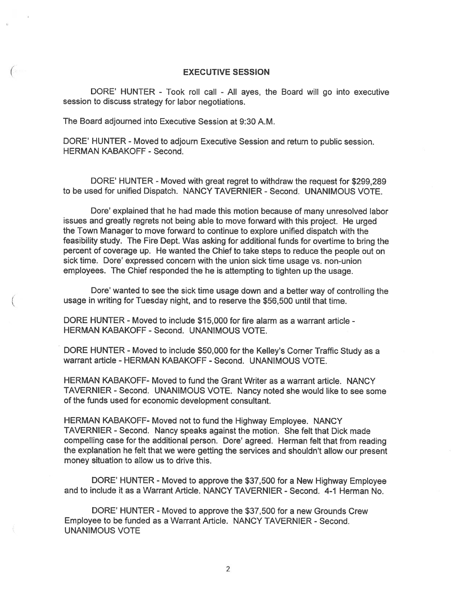#### EXECUTIVE SESSION

DORE' HUNTER - Took roll call - All ayes, the Board will go into executive session to discuss strategy for labor negotiations.

The Board adjourned into Executive Session at 9:30 A.M.

DORE' HUNTER - Moved to adjourn Executive Session and return to public session. HERMAN KABAKOFF - Second.

DORE' HUNTER - Moved with great regret to withdraw the request for \$299,289 to be used for unified Dispatch. NANCY TAVERNIER - Second. UNANIMOUS VOTE.

Dore' explained that he had made this motion because of many unresolved labor issues and greatly regrets not being able to move forward with this project. He urged the Town Manager to move forward to continue to explore unified dispatch with the feasibility study. The Fire Dept. Was asking for additional funds for overtime to bring the percen<sup>t</sup> of coverage up. He wanted the Chief to take steps to reduce the people out on sick time. Dore' expressed concern with the union sick time usage vs. non-union employees. The Chief responded the he is attempting to tighten up the usage.

Dore' wanted to see the sick time usage down and <sup>a</sup> better way of controlling the usage in writing for Tuesday night, and to reserve the \$56,500 until that time.

DORE HUNTER - Moved to include \$15,000 for fire alarm as a warrant article -HERMAN KABAKOFF - Second. UNANIMOUS VOTE.

DORE HUNTER - Moved to include \$50,000 for the Kelley's Corner Traffic Study as <sup>a</sup> warrant article - HERMAN KABAKOFF - Second. UNANIMOUS VOTE.

HERMAN KABAKOFF- Moved to fund the Grant Writer as <sup>a</sup> warrant article. NANCY TAVERNIER - Second. UNANIMOUS VOTE. Nancy noted she would like to see some of the funds used for economic development consultant.

HERMAN KABAKOFF- Moved not to fund the Highway Employee. NANCY TAVERNIER - Second. Nancy speaks against the motion. She felt that Dick made compelling case for the additional person. Dore' agreed. Herman felt that from reading the explanation he felt that we were getting the services and shouldn't allow our presen<sup>t</sup> money situation to allow us to drive this.

DORE' HUNTER - Moved to approve the \$37,500 for <sup>a</sup> New Highway Employee and to include it as <sup>a</sup> Warrant Article. NANCY TAVERNIER - Second. 4-1 Herman No.

DORE' HUNTER - Moved to approve the \$37,500 for a new Grounds Crew Employee to be funded as <sup>a</sup> Warrant Article. NANCY TAVERNIER - Second. UNANIMOUS VOTE

2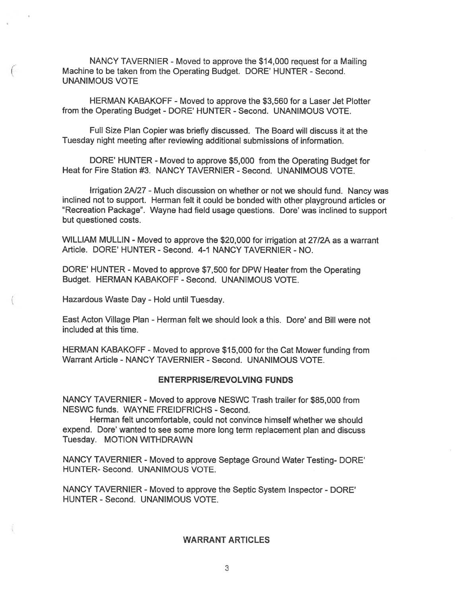NANCY TAVERNIER - Moved to approve the \$14,000 request for a Mailing Machine to be taken from the Operating Budget. DORE' HUNTER - Second. UNANIMOUS VOTE

HERMAN KABAKOFF -Moved to approve the \$3,560 for <sup>a</sup> Laser Jet Plotter from the Operating Budget - DORE' HUNTER - Second. UNANIMOUS VOTE.

Full Size Plan Copier was briefly discussed. The Board will discuss it at the Tuesday night meeting after reviewing additional submissions of information.

DORE' HUNTER - Moved to approve \$5,000 from the Operating Budget for Heat for Fire Station #3. NANCY TAVERNIER - Second. UNANIMOUS VOTE.

Irrigation 2N27 - Much discussion on whether or not we should fund. Nancy was inclined not to support. Herman felt it could be bonded with other <sup>p</sup>layground articles or "Recreation Package". Wayne had field usage questions. Dore' was inclined to suppor<sup>t</sup> but questioned costs.

WILLIAM MULLIN - Moved to approve the \$20,000 for irrigation at 27/2A as a warrant Article. DORE' HUNTER - Second. 4-1 NANCY TAVERNIER - NO.

DORE' HUNTER - Moved to approve \$7,500 for DPW Heater from the Operating Budget. HERMAN KABAKOFF -Second. UNANIMOUS VOTE.

Hazardous Waste Day - Hold until Tuesday.

East Acton Village Plan - Herman felt we should look a this. Dore' and Bill were not included at this time.

HERMAN KABAKOFF - Moved to approve \$15,000 for the Cat Mower funding from Warrant Article - NANCY TAVERNIER - Second. UNANIMOUS VOTE.

#### **ENTERPRISE/REVOLVING FUNDS**

NANCY TAVERNIER - Moved to approve NESWC Trash trailer for \$85,000 from NESWC funds. WAYNE FREIDFRICHS - Second.

Herman felt uncomfortable, could not convince himself whether we should expend. Dore' wanted to see some more long term replacement plan and discuss Tuesday. MOTION WITHDRAWN

NANCY TAVERNIER - Moved to approve Septage Ground Water Testing- DORE' HUNTER- Second. UNANIMOUS VOTE.

NANCY TAVERNIER - Moved to approve the Septic System Inspector - DORE' HUNTER - Second. UNANIMOUS VOTE.

# WARRANT ARTICLES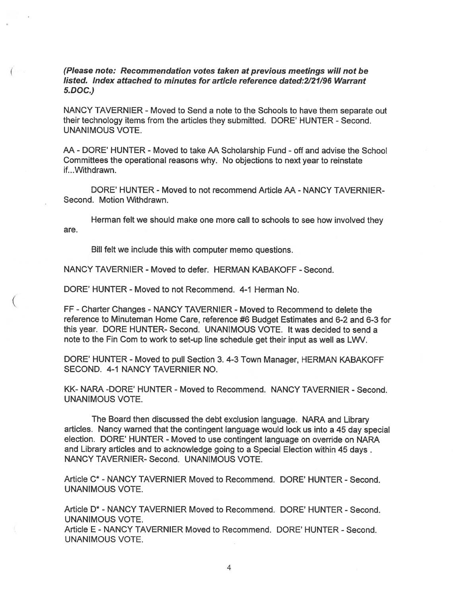(Please note: Recommendation votes taken at previous meetings will not be listed. Index attached to minutes for article reference dated:2121/96 Warrant 5.DOC.)

NANCY TAVERNIER - Moved to Send a note to the Schools to have them separate out their technology items from the articles they submitted. DORE' HUNTER - Second. UNANIMOUS VOTE.

AA - DORE' HUNTER - Moved to take AA Scholarship Fund - off and advise the School Committees the operational reasons why. No objections to next year to reinstate if...Withdrawn.

DORE' HUNTER - Moved to not recommend Article AA - NANCY TAVERNIER-Second. Motion Withdrawn.

Herman felt we should make one more call to schools to see how involved they are.

Bill felt we include this with computer memo questions.

NANCY TAVERNIER - Moved to defer. HERMAN KABAKOFF - Second.

DORE' HUNTER - Moved to not Recommend. 4-1 Herman No.

FF -Charter Changes - NANCY TAVERN IER - Moved to Recommend to delete the reference to Minuteman Home Care, reference #6 Budget Estimates and 6-2 and 6-3 for this year. DORE HUNTER- Second. UNANIMOUS VOTE. It was decided to send <sup>a</sup> note to the Fin Com to work to set-up line schedule get their input as well as LWV.

DORE' HUNTER - Moved to pull Section 3. 4-3 Town Manager, HERMAN KABAKOFF SECOND. 4-1 NANCY TAVERNIER NO.

KK- NARA -DORE' HUNTER - Moved to Recommend. NANCY TAVERNIER - Second. UNANIMOUS VOTE.

The Board then discussed the debt exclusion language. NARA and Library articles. Nancy warned that the contingent language would lock us into <sup>a</sup> 45 day special election. DORE' HUNTER - Moved to use contingent language on override on NARA and Library articles and to acknowledge going to <sup>a</sup> Special Election within 45 days. NANCY TAVERNIER- Second. UNANIMOUS VOTE.

Article C\* - NANCY TAVERNIER Moved to Recommend. DORE' HUNTER - Second. UNANIMOUS VOTE.

Article D\* - NANCY TAVERNIER Moved to Recommend. DORE' HUNTER - Second. UNANIMOUS VOTE.

Article E - NANCY TAVERNIER Moved to Recommend. DORE' HUNTER - Second. UNANIMOUS VOTE.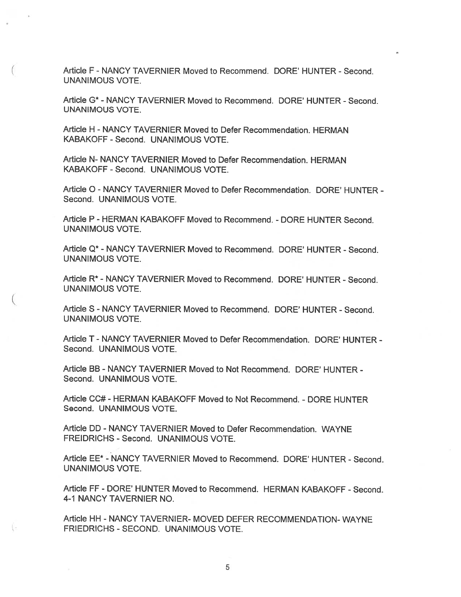Article F - NANCY TAVERNIER Moved to Recommend. DORE' HUNTER - Second. UNANIMOUS VOTE.

Article G\* - NANCY TAVERNIER Moved to Recommend. DORE' HUNTER - Second. UNANIMOUS VOTE.

Article H - NANCY TAVERNIER Moved to Defer Recommendation. HERMAN KABAKOFF - Second. UNANIMOUS VOTE.

Article N- NANCY TAVERNIER Moved to Defer Recommendation. HERMAN KABAKOFF - Second. UNANIMOUS VOTE.

Article 0- NANCY TAVERNIER Moved to Defer Recommendation. DORE' HUNTER - Second. UNANIMOUS VOTE.

Article P - HERMAN KABAKOFF Moved to Recommend. - DORE HUNTER Second. UNANIMOUS VOTE.

Article Q\* - NANCY TAVERNIER Moved to Recommend. DORE' HUNTER - Second. UNANIMOUS VOTE.

Article R\* - NANCY TAVERNIER Moved to Recommend. DORE' HUNTER - Second. UNANIMOUS VOTE.

Article S - NANCY TAVERNIER Moved to Recommend. DORE' HUNTER - Second. UNANIMOUS VOTE.

Article T - NANCY TAVERNIER Moved to Defer Recommendation. DORE' HUNTER - Second. UNANIMOUS VOTE.

Article BB - NANCY TAVERNIER Moved to Not Recommend. DORE' HUNTER - Second. UNANIMOUS VOTE.

Article CC# - HERMAN KABAKOFF Moved to Not Recommend. - DORE HUNTER Second. UNANIMOUS VOTE.

Article DD - NANCY TAVERNIER Moved to Defer Recommendation. WAYNE FREIDRICHS - Second. UNANIMOUS VOTE.

Article EE\* - NANCY TAVERNIER Moved to Recommend. DORE' HUNTER - Second. UNANIMOUS VOTE.

Article FF - DORE' HUNTER Moved to Recommend. HERMAN KABAKOFF - Second. 4-1 NANCY TAVERNIER NO.

Article HH - NANCY TAVERNIER- MOVED DEFER RECOMMENDATION- WAYNE FRIEDRICHS -SECOND. UNANIMOUS VOTE.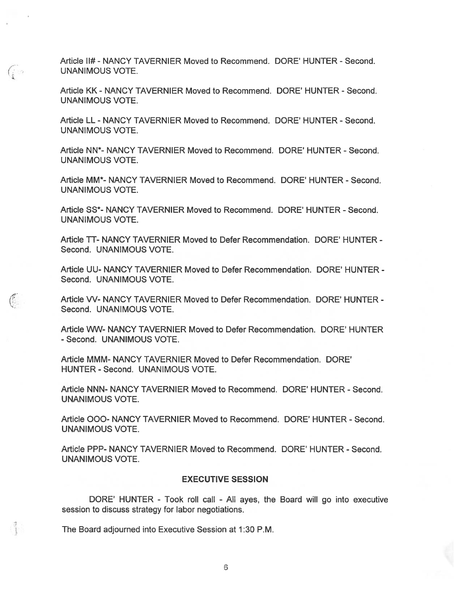Article II# - NANCY TAVERNIER Moved to Recommend. DORE' HUNTER - Second. UNANIMOUS VOTE.

(40

 $\binom{r}{r}$ 

 $\mathbb{I}$ 

Article KK - NANCY TAVERNIER Moved to Recommend. DORE' HUNTER - Second. UNANIMOUS VOTE.

Article LL - NANCY TAVERNIER Moved to Recommend. DORE' HUNTER - Second. UNANIMOUS VOTE.

Article NN<sup>\*</sup>- NANCY TAVERNIER Moved to Recommend. DORE' HUNTER - Second. UNANIMOUS VOTE.

Article MM\*- NANCY TAVERNIER Moved to Recommend. DORE' HUNTER - Second. UNANIMOUS VOTE.

Article 55\* NANCY TAVERNIER Moved to Recommend. DORE' HUNTER - Second. UNANIMOUS VOTE.

Article TT- NANCY TAVERNIER Moved to Defer Recommendation. DORE' HUNTER -Second. UNANIMOUS VOTE.

Article UU- NANCY TAVERNIER Moved to Defer Recommendation. DORE' HUNTER - Second. UNANIMOUS VOTE.

Article W- NANCY TAVERNIER Moved to Defer Recommendation. DORE' HUNTER - Second. UNANIMOUS VOTE.

Article WW- NANCY TAVERNIER Moved to Defer Recommendation. DORE' HUNTER - Second. UNANIMOUS VOTE.

Article MMM- NANCY TAVERNIER Moved to Defer Recommendation. DORE' HUNTER - Second. UNANIMOUS VOTE.

Article NNN- NANCY TAVERNIER Moved to Recommend. DORE' HUNTER - Second. UNANIMOUS VOTE.

Article 000- NANCY TAVERNIER Moved to Recommend. DORE' HUNTER - Second. UNANIMOUS VOTE.

Article PPP- NANCY TAVERNIER Moved to Recommend. DORE' HUNTER - Second. UNANIMOUS VOTE.

#### EXECUTIVE SESSION

DORE' HUNTER - Took roll call - All ayes, the Board will go into executive session to discuss strategy for labor negotiations.

The Board adjourned into Executive Session at 1:30 P.M.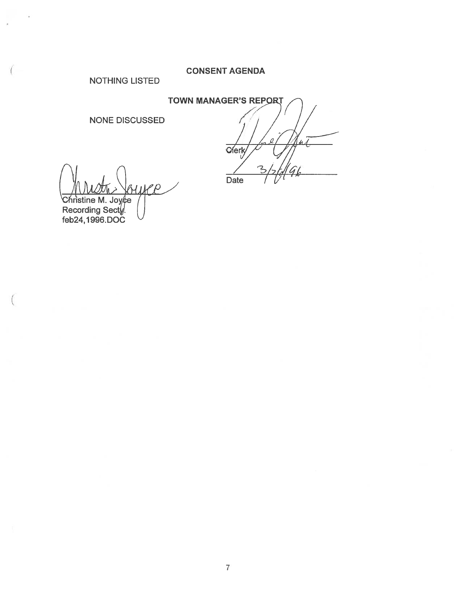# CONSENT AGENDA

NOTHING LISTED

NONE DISCUSSED

TOWN MANAGER'S REPORT  $\sqrt{7}$  $1/7$  $1 \mid \Delta$ l $1$ Date

ANUSTIN > GUILLO<br>Christine M. Joy¢e

Recording Sect<u>y</u> feb24, 1996. DCC

7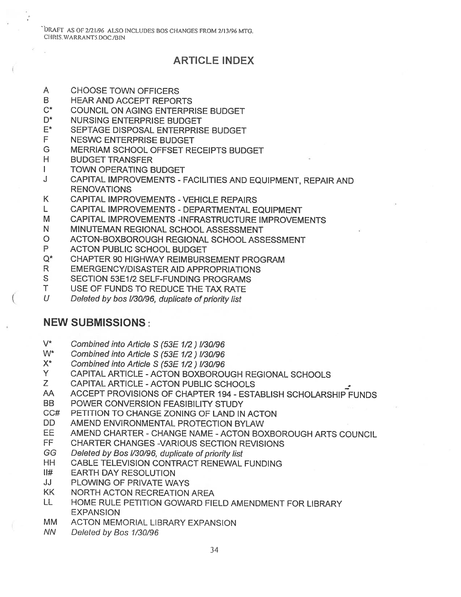DRAFT AS Of 2/21/96 ALSO INCLUDES BOS CHANGES FROM 2/I 3/96 MTG. CHRIS. WARRANT5.DOC./BIN

# ARTICLE INDEX

- A CHOOSE TOWN OFFICERS
- B HEAR AND ACCEPT REPORTS
- C\* COUNCIL ON AGING ENTERPRISE BUDGET
- D\* NURSING ENTERPRISE BUDGET
- E\* SEPTAGE DISPOSAL ENTERPRISE BUDGET
- F NESWC ENTERPRISE BUDGET
- G MERRIAM SCHOOL OFFSET RECEIPTS BUDGET
- H BUDGET TRANSFER
- I TOWN OPERATING BUDGET
- <sup>J</sup> CAPITAL IMPROVEMENTS FACILITIES AND EQUIPMENT, REPAIR AND RENOVATIONS
- K CAPITAL IMPROVEMENTS -VEHICLE REPAIRS
- L CAPITAL IMPROVEMENTS DEPARTMENTAL EQUIPMENT
- M CAPITAL IMPROVEMENTS -INFRASTRUCTURE IMPROVEMENTS
- N MINUTEMAN REGIONAL SCHOOL ASSESSMENT
- 0 ACTON-BOXBOROUGH REGIONAL SCHOOL ASSESSMENT
- 
- <sup>P</sup> ACTON PUBLIC SCHOOL BUDGET Q\* CHAPTER <sup>90</sup> HIGHWAY REIMBURSEMENT PROGRAM
- R EMERGENCY/DISASTER AID APPROPRIATIONS
- S SECTION 53E1/2 SELF-FUNDING PROGRAMS
- T USE OF FUNDS TO REDUCE THE TAX RATE
- U Deleted by bos I/30/96, duplicate of priority list

# NEW SUBMISSIONS:

- V\* Combined into Article <sup>S</sup> (53E 1/2) 1/30/96
- W\* Combined into Article <sup>S</sup> (53E 1/2) 1/30/96
- X\* Combined into Article <sup>S</sup> (53E 1/2) 1/30/96
- Y CAPITAL ARTICLE -ACTON BOXBOROUGH REGIONAL SCHOOLS
- Z CAPITAL ARTICLE -ACTON PUBLIC SCHOOLS
- AA ACCEPT PROVISIONS OF CHAPTER 194 ESTABLISH SCHOLARSHIP FUNDS
- BB POWER CONVERSION FEASIBILITY STUDY
- CC# PETITION TO CHANGE ZONING OF LAND IN ACTON
- DD AMEND ENVIRONMENTAL PROTECTION BYLAW
- EE AMEND CHARTER CHANGE NAME -ACTON BOXBOROUGH ARTS COUNCIL
- FF CHARTER CHANGES -VARIOUS SECTION REVISIONS
- GG Deleted by Bos 1/30/96, duplicate of priority list
- HH CABLE TELEVISION CONTRACT RENEWAL FUNDING
- II# EARTH DAY RESOLUTION
- JJ PLOWING OF PRIVATE WAYS
- KK NORTH ACTON RECREATION AREA
- LL HOME RULE PETITION GOWARD FIELD AMENDMENT FOR LIBRARY **EXPANSION**
- MM ACTON MEMORIAL LIBRARY EXPANSION
- NN Deleted by Bos 1/30/96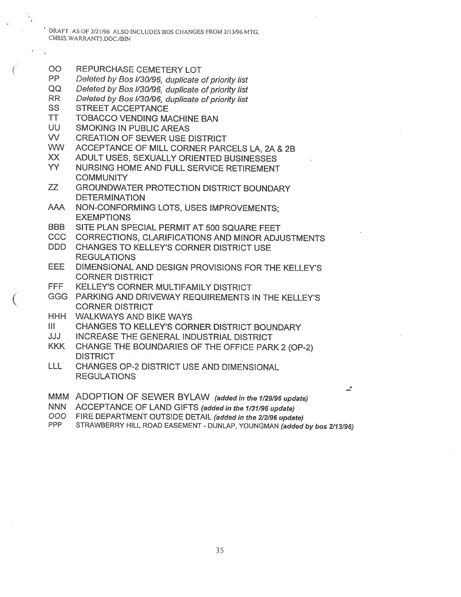DRAFT AS OF 2/21/96 ALSO INCLUDES BOS CHANGES FROM 2/13/96 MTG. CHRIS.WARRANT5.DOC./BIN

- 00 REPURCHASE CEMETERY LOT
- PP Deleted by Bos I/30/96, duplicate of priority list
- QQ Deleted by Bos 1/30/96, duplicate of priority list
- RR Deleted by Bos I/30/96, duplicate of priority list<br>SS STREET ACCEPTANCE
- STREET ACCEPTANCE
- TT TOBACCO VENDING MACHINE BAN
- UU SMOKING IN PUBLIC AREAS
- W CREATION OF SEWER USE DISTRICT
- WW ACCEPTANCE OF MILL CORNER PARCELS LA, 2A & 2B
- XX ADULT USES, SEXUALLY ORIENTED BUSINESSES
- YY NURSING HOME AND FULL SERVICE RETIREMENT **COMMUNITY**
- ZZ GROUNDWATER PROTECTION DISTRICT BOUNDARY DETERMINATION
- AAA NON-CONFORMING LOTS, USES IMPROVEMENTS; EXEMPTIONS
- BBB SITE PLAN SPECIAL PERMIT AT 500 SQUARE FEET
- CCC CORRECTIONS, CLARIFICATIONS AND MINOR ADJUSTMENTS
- DDD CHANGES TO KELLEY'S CORNER DISTRICT USE REGULATIONS
- EEE DIMENSIONAL AND DESIGN PROVISIONS FOR THE KELLEY'S CORNER DISTRICT
- FFF KELLEY'S CORNER MULTIFAMILY DISTRICT
- GGG PARKING AND DRIVEWAY REQUIREMENTS IN THE KELLEY'S CORNER DISTRICT
- HHH WALKWAYS AND BIKE WAYS
- III CHANGES TO KELLEY'S CORNER DISTRICT BOUNDARY
- JJJ INCREASE THE GENERAL INDUSTRIAL DISTRICT
- KKK CHANGE THE BOUNDARIES OF THE OFFICE PARK <sup>2</sup> (OP-2) **DISTRICT**
- LLL CHANGES OP-2 DISTRICT USE AND DIMENSIONAL REGULATIONS
- MMM ADOPTION OF SEWER BYLAW (added in the 1/29/96 update)
- NNN ACCEPTANCE OF LAND GIFTS (added in the 1/31/96 update)<br>COO FIRE DEPARTMENT OUTSIDE DETAIL (added in the 2/2/96 upda
- OOO FIRE DEPARTMENT OUTSIDE DETAIL (added in the 2/2/96 update)<br>PPP STRAWBERRY HILL ROAD FASEMENT DUNI AP YOUNGMAN (added)
- STRAWBERRY HILL ROAD EASEMENT DUNLAP, YOUNGMAN (added by bos 2/13/96)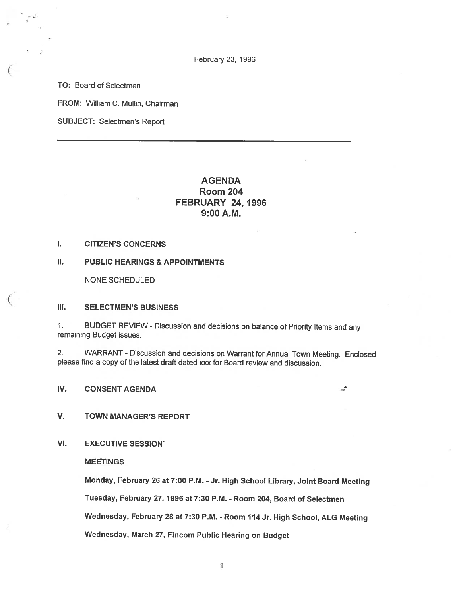February 23, 1996

TO: Board of Selectmen

FROM: William C. Mullin, Chairman

SUBJECT: Selectmen's Report

# AGENDA Room 204 FEBRUARY 24, 1996 9:00 A.M.

I. CITIZEN'S CONCERNS

II. PUBLIC HEARINGS & APPOINTMENTS

NONE SCHEDULED

#### Ill. SELECTMEN'S BUSINESS

1. BUDGET REVIEW - Discussion and decisions on balance of Priority Items and any remaining Budget issues.

2. WARRANT -Discussion and decisions on Warrant for Annual Town Meeting. Enclosed please find <sup>a</sup> copy of the latest draft dated xxx for Board review and discussion.

ى

IV. CONSENT AGENDA

#### V. TOWN MANAGER'S REPORT

VI. EXECUTIVE SESSION'

MEETINGS

Monday, February <sup>26</sup> at 7:00 P.M. -Jr. High School Library, Joint Board Meeting Tuesday, February 27, 1996 at 7:30 P.M. - Room 204, Board of Selectmen Wednesday, February <sup>28</sup> at 7:30 P.M. - Room <sup>114</sup> Jr. High School, ALG Meeting Wednesday, March 27, Fincom Public Hearing on Budget

1